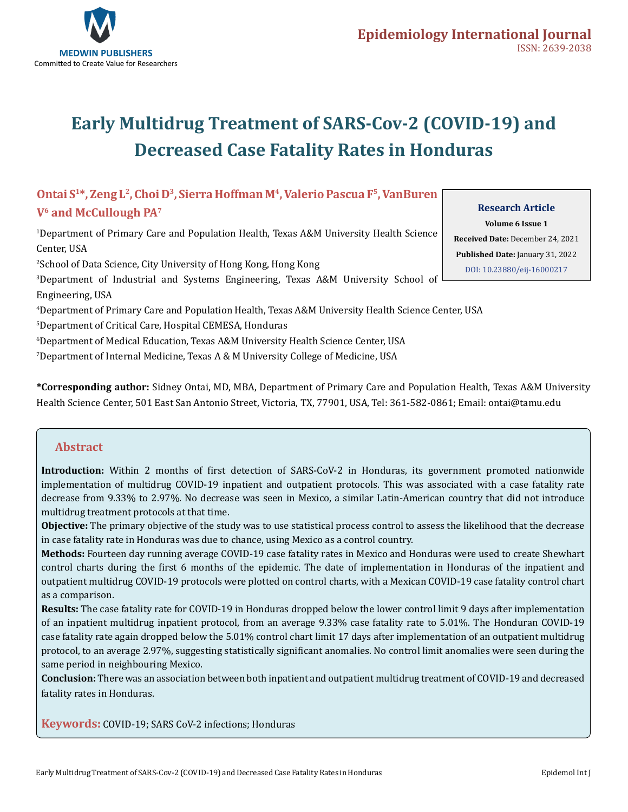

# **Early Multidrug Treatment of SARS-Cov-2 (COVID-19) and Decreased Case Fatality Rates in Honduras**

# **Ontai S1\*, Zeng L2, Choi D3, Sierra Hoffman M4, Valerio Pascua F5, VanBuren V6 and McCullough PA7**

1 Department of Primary Care and Population Health, Texas A&M University Health Science Center, USA 2 School of Data Science, City University of Hong Kong, Hong Kong

3 Department of Industrial and Systems Engineering, Texas A&M University School of Engineering, USA

4 Department of Primary Care and Population Health, Texas A&M University Health Science Center, USA

5 Department of Critical Care, Hospital CEMESA, Honduras

6 Department of Medical Education, Texas A&M University Health Science Center, USA

 $^{\prime}$ Department of Internal Medicine, Texas A & M University College of Medicine, USA

**\*Corresponding author:** Sidney Ontai, MD, MBA, Department of Primary Care and Population Health, Texas A&M University Health Science Center, 501 East San Antonio Street, Victoria, TX, 77901, USA, Tel: 361-582-0861; Email: ontai@tamu.edu

## **Abstract**

**Introduction:** Within 2 months of first detection of SARS-CoV-2 in Honduras, its government promoted nationwide implementation of multidrug COVID-19 inpatient and outpatient protocols. This was associated with a case fatality rate decrease from 9.33% to 2.97%. No decrease was seen in Mexico, a similar Latin-American country that did not introduce multidrug treatment protocols at that time.

**Objective:** The primary objective of the study was to use statistical process control to assess the likelihood that the decrease in case fatality rate in Honduras was due to chance, using Mexico as a control country.

**Methods:** Fourteen day running average COVID-19 case fatality rates in Mexico and Honduras were used to create Shewhart control charts during the first 6 months of the epidemic. The date of implementation in Honduras of the inpatient and outpatient multidrug COVID-19 protocols were plotted on control charts, with a Mexican COVID-19 case fatality control chart as a comparison.

**Results:** The case fatality rate for COVID-19 in Honduras dropped below the lower control limit 9 days after implementation of an inpatient multidrug inpatient protocol, from an average 9.33% case fatality rate to 5.01%. The Honduran COVID-19 case fatality rate again dropped below the 5.01% control chart limit 17 days after implementation of an outpatient multidrug protocol, to an average 2.97%, suggesting statistically significant anomalies. No control limit anomalies were seen during the same period in neighbouring Mexico.

**Conclusion:** There was an association between both inpatient and outpatient multidrug treatment of COVID-19 and decreased fatality rates in Honduras.

**Keywords:** COVID-19; SARS CoV-2 infections; Honduras

**Research Article** 

**Volume 6 Issue 1 Received Date:** December 24, 2021 **Published Date:** January 31, 2022 [DOI: 10.23880/eij-16000217](https://doi.org/10.23880/eij-16000217)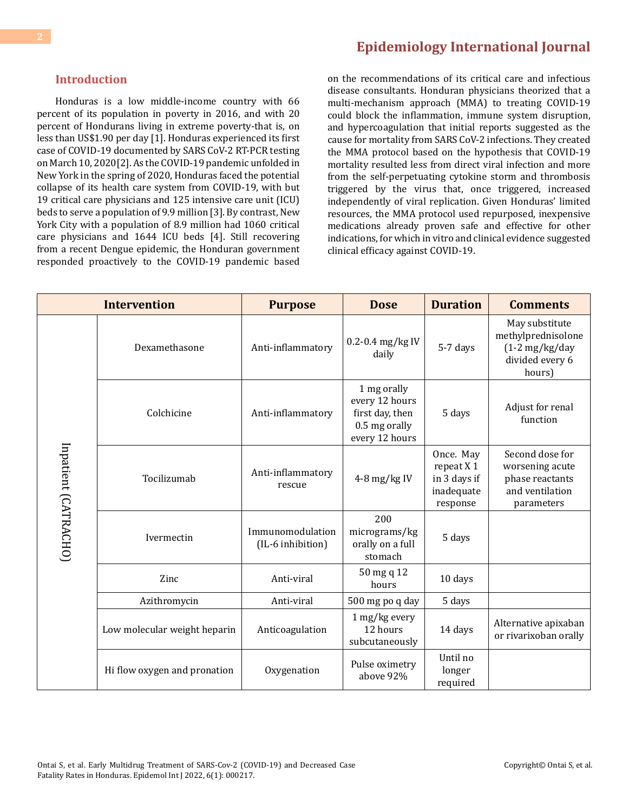#### **Introduction**

Honduras is a low middle-income country with 66 percent of its population in poverty in 2016, and with 20 percent of Hondurans living in extreme poverty-that is, on less than US\$1.90 per day [1]. Honduras experienced its first case of COVID-19 documented by SARS CoV-2 RT-PCR testing on March 10, 2020[2]. As the COVID-19 pandemic unfolded in New York in the spring of 2020, Honduras faced the potential collapse of its health care system from COVID-19, with but 19 critical care physicians and 125 intensive care unit (ICU) beds to serve a population of 9.9 million [3]. By contrast, New York City with a population of 8.9 million had 1060 critical care physicians and 1644 ICU beds [4]. Still recovering from a recent Dengue epidemic, the Honduran government responded proactively to the COVID-19 pandemic based

## **[Epidemiology International Journal](https://medwinpublishers.com/EIJ/)**

on the recommendations of its critical care and infectious disease consultants. Honduran physicians theorized that a multi-mechanism approach (MMA) to treating COVID-19 could block the inflammation, immune system disruption, and hypercoagulation that initial reports suggested as the cause for mortality from SARS CoV-2 infections. They created the MMA protocol based on the hypothesis that COVID-19 mortality resulted less from direct viral infection and more from the self-perpetuating cytokine storm and thrombosis triggered by the virus that, once triggered, increased independently of viral replication. Given Honduras' limited resources, the MMA protocol used repurposed, inexpensive medications already proven safe and effective for other indications, for which in vitro and clinical evidence suggested clinical efficacy against COVID-19.

| <b>Intervention</b>  |                              | <b>Purpose</b>                        | <b>Dose</b>                                                                         | <b>Duration</b>                                                   | <b>Comments</b>                                                                                |
|----------------------|------------------------------|---------------------------------------|-------------------------------------------------------------------------------------|-------------------------------------------------------------------|------------------------------------------------------------------------------------------------|
| Inpatient (CATRACHO) | Dexamethasone                | Anti-inflammatory                     | 0.2-0.4 mg/kg IV<br>daily                                                           | 5-7 days                                                          | May substitute<br>methylprednisolone<br>$(1-2 \text{ mg/kg/day})$<br>divided every 6<br>hours) |
|                      | Colchicine                   | Anti-inflammatory                     | 1 mg orally<br>every 12 hours<br>first day, then<br>0.5 mg orally<br>every 12 hours | 5 days                                                            | Adjust for renal<br>function                                                                   |
|                      | Tocilizumab                  | Anti-inflammatory<br>rescue           | 4-8 mg/kg IV                                                                        | Once. May<br>repeat X 1<br>in 3 days if<br>inadequate<br>response | Second dose for<br>worsening acute<br>phase reactants<br>and ventilation<br>parameters         |
|                      | Ivermectin                   | Immunomodulation<br>(IL-6 inhibition) | 200<br>micrograms/kg<br>orally on a full<br>stomach                                 | 5 days                                                            |                                                                                                |
|                      | Zinc                         | Anti-viral                            | 50 mg q 12<br>hours                                                                 | 10 days                                                           |                                                                                                |
|                      | Azithromycin                 | Anti-viral                            | 500 mg po q day                                                                     | 5 days                                                            |                                                                                                |
|                      | Low molecular weight heparin | Anticoagulation                       | 1 mg/kg every<br>12 hours<br>subcutaneously                                         | 14 days                                                           | Alternative apixaban<br>or rivarixoban orally                                                  |
|                      | Hi flow oxygen and pronation | Oxygenation                           | Pulse oximetry<br>above 92%                                                         | Until no<br>longer<br>required                                    |                                                                                                |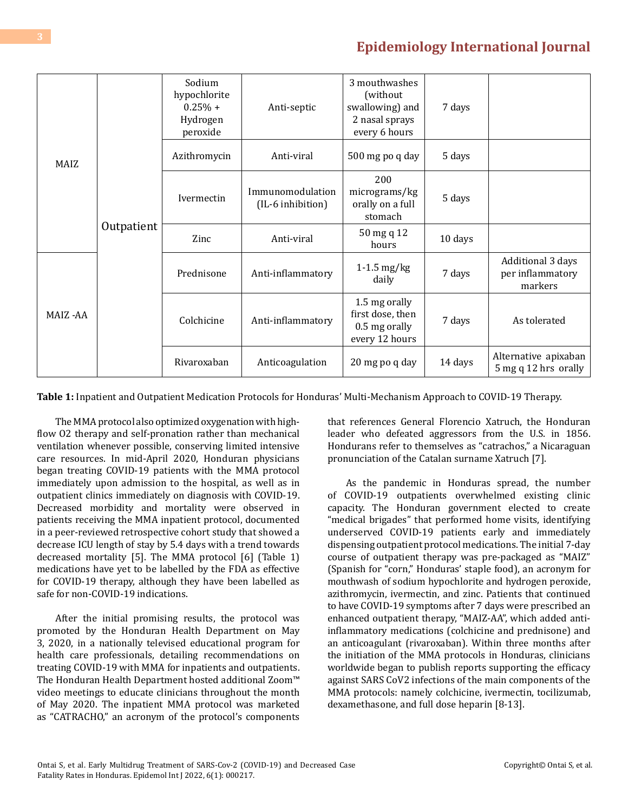| MAIZ    | Outpatient | Sodium<br>hypochlorite<br>$0.25% +$<br>Hydrogen<br>peroxide | Anti-septic                           | 3 mouthwashes<br>(without)<br>swallowing) and<br>2 nasal sprays<br>every 6 hours | 7 days  |                                                        |
|---------|------------|-------------------------------------------------------------|---------------------------------------|----------------------------------------------------------------------------------|---------|--------------------------------------------------------|
|         |            | Azithromycin                                                | Anti-viral                            | 500 mg po q day                                                                  | 5 days  |                                                        |
|         |            | Ivermectin                                                  | Immunomodulation<br>(IL-6 inhibition) | 200<br>micrograms/kg<br>orally on a full<br>stomach                              | 5 days  |                                                        |
|         |            | Zinc                                                        | Anti-viral                            | 50 mg q 12<br>hours                                                              | 10 days |                                                        |
| MAIZ-AA |            | Prednisone                                                  | Anti-inflammatory                     | $1-1.5$ mg/kg<br>daily                                                           | 7 days  | Additional 3 days<br>per inflammatory<br>markers       |
|         |            | Colchicine                                                  | Anti-inflammatory                     | 1.5 mg orally<br>first dose, then<br>0.5 mg orally<br>every 12 hours             | 7 days  | As tolerated                                           |
|         |            | Rivaroxaban                                                 | Anticoagulation                       | 20 mg po q day                                                                   | 14 days | Alternative apixaban<br>$5 \text{ mg}$ q 12 hrs orally |

**Table 1:** Inpatient and Outpatient Medication Protocols for Honduras' Multi-Mechanism Approach to COVID-19 Therapy.

The MMA protocol also optimized oxygenation with highflow O2 therapy and self-pronation rather than mechanical ventilation whenever possible, conserving limited intensive care resources. In mid-April 2020, Honduran physicians began treating COVID-19 patients with the MMA protocol immediately upon admission to the hospital, as well as in outpatient clinics immediately on diagnosis with COVID-19. Decreased morbidity and mortality were observed in patients receiving the MMA inpatient protocol, documented in a peer-reviewed retrospective cohort study that showed a decrease ICU length of stay by 5.4 days with a trend towards decreased mortality [5]. The MMA protocol [6] (Table 1) medications have yet to be labelled by the FDA as effective for COVID-19 therapy, although they have been labelled as safe for non-COVID-19 indications.

After the initial promising results, the protocol was promoted by the Honduran Health Department on May 3, 2020, in a nationally televised educational program for health care professionals, detailing recommendations on treating COVID-19 with MMA for inpatients and outpatients. The Honduran Health Department hosted additional Zoom™ video meetings to educate clinicians throughout the month of May 2020. The inpatient MMA protocol was marketed as "CATRACHO," an acronym of the protocol's components

that references General Florencio Xatruch, the Honduran leader who defeated aggressors from the U.S. in 1856. Hondurans refer to themselves as "catrachos," a Nicaraguan pronunciation of the Catalan surname Xatruch [7].

As the pandemic in Honduras spread, the number of COVID-19 outpatients overwhelmed existing clinic capacity. The Honduran government elected to create "medical brigades" that performed home visits, identifying underserved COVID-19 patients early and immediately dispensing outpatient protocol medications. The initial 7-day course of outpatient therapy was pre-packaged as "MAIZ" (Spanish for "corn," Honduras' staple food), an acronym for mouthwash of sodium hypochlorite and hydrogen peroxide, azithromycin, ivermectin, and zinc. Patients that continued to have COVID-19 symptoms after 7 days were prescribed an enhanced outpatient therapy, "MAIZ-AA", which added antiinflammatory medications (colchicine and prednisone) and an anticoagulant (rivaroxaban). Within three months after the initiation of the MMA protocols in Honduras, clinicians worldwide began to publish reports supporting the efficacy against SARS CoV2 infections of the main components of the MMA protocols: namely colchicine, ivermectin, tocilizumab, dexamethasone, and full dose heparin [8-13].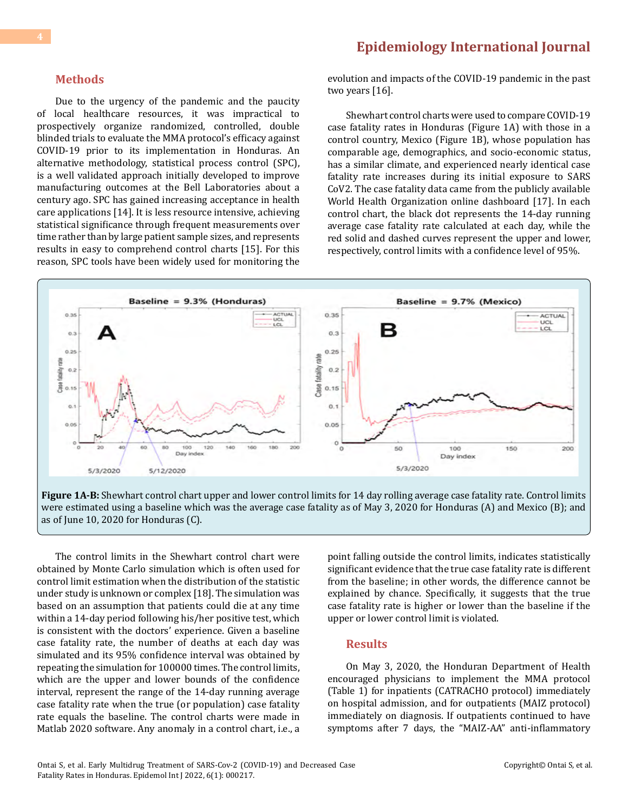#### **Methods**

Due to the urgency of the pandemic and the paucity of local healthcare resources, it was impractical to prospectively organize randomized, controlled, double blinded trials to evaluate the MMA protocol's efficacy against COVID-19 prior to its implementation in Honduras. An alternative methodology, statistical process control (SPC), is a well validated approach initially developed to improve manufacturing outcomes at the Bell Laboratories about a century ago. SPC has gained increasing acceptance in health care applications [14]. It is less resource intensive, achieving statistical significance through frequent measurements over time rather than by large patient sample sizes, and represents results in easy to comprehend control charts [15]. For this reason, SPC tools have been widely used for monitoring the

evolution and impacts of the COVID-19 pandemic in the past two years [16].

Shewhart control charts were used to compare COVID-19 case fatality rates in Honduras (Figure 1A) with those in a control country, Mexico (Figure 1B), whose population has comparable age, demographics, and socio-economic status, has a similar climate, and experienced nearly identical case fatality rate increases during its initial exposure to SARS CoV2. The case fatality data came from the publicly available World Health Organization online dashboard [17]. In each control chart, the black dot represents the 14-day running average case fatality rate calculated at each day, while the red solid and dashed curves represent the upper and lower, respectively, control limits with a confidence level of 95%.



**Figure 1A-B:** Shewhart control chart upper and lower control limits for 14 day rolling average case fatality rate. Control limits were estimated using a baseline which was the average case fatality as of May 3, 2020 for Honduras (A) and Mexico (B); and as of June 10, 2020 for Honduras (C).

The control limits in the Shewhart control chart were obtained by Monte Carlo simulation which is often used for control limit estimation when the distribution of the statistic under study is unknown or complex [18]. The simulation was based on an assumption that patients could die at any time within a 14-day period following his/her positive test, which is consistent with the doctors' experience. Given a baseline case fatality rate, the number of deaths at each day was simulated and its 95% confidence interval was obtained by repeating the simulation for 100000 times. The control limits, which are the upper and lower bounds of the confidence interval, represent the range of the 14-day running average case fatality rate when the true (or population) case fatality rate equals the baseline. The control charts were made in Matlab 2020 software. Any anomaly in a control chart, i.e., a

point falling outside the control limits, indicates statistically significant evidence that the true case fatality rate is different from the baseline; in other words, the difference cannot be explained by chance. Specifically, it suggests that the true case fatality rate is higher or lower than the baseline if the upper or lower control limit is violated.

#### **Results**

On May 3, 2020, the Honduran Department of Health encouraged physicians to implement the MMA protocol (Table 1) for inpatients (CATRACHO protocol) immediately on hospital admission, and for outpatients (MAIZ protocol) immediately on diagnosis. If outpatients continued to have symptoms after 7 days, the "MAIZ-AA" anti-inflammatory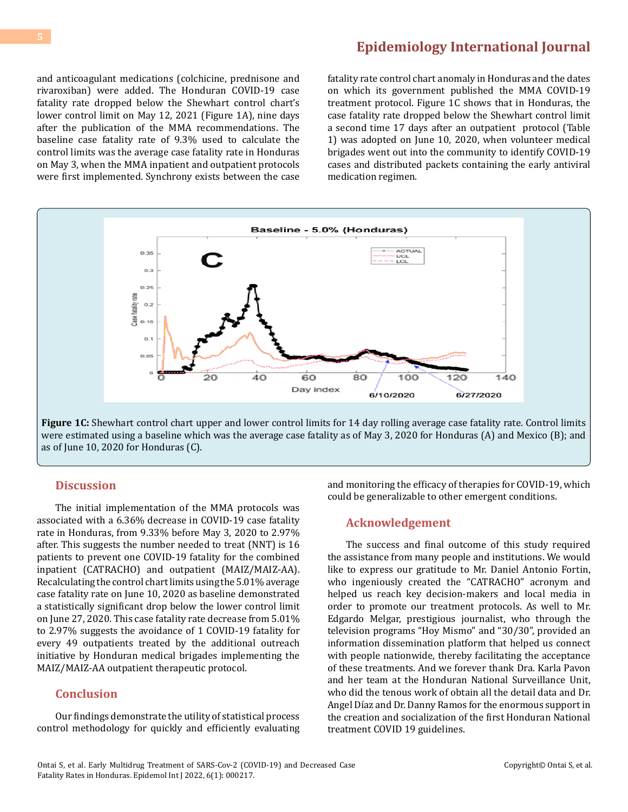and anticoagulant medications (colchicine, prednisone and rivaroxiban) were added. The Honduran COVID-19 case fatality rate dropped below the Shewhart control chart's lower control limit on May 12, 2021 (Figure 1A), nine days after the publication of the MMA recommendations. The baseline case fatality rate of 9.3% used to calculate the control limits was the average case fatality rate in Honduras on May 3, when the MMA inpatient and outpatient protocols were first implemented. Synchrony exists between the case

fatality rate control chart anomaly in Honduras and the dates on which its government published the MMA COVID-19 treatment protocol. Figure 1C shows that in Honduras, the case fatality rate dropped below the Shewhart control limit a second time 17 days after an outpatient protocol (Table 1) was adopted on June 10, 2020, when volunteer medical brigades went out into the community to identify COVID-19 cases and distributed packets containing the early antiviral medication regimen.



**Figure 1C:** Shewhart control chart upper and lower control limits for 14 day rolling average case fatality rate. Control limits were estimated using a baseline which was the average case fatality as of May 3, 2020 for Honduras (A) and Mexico (B); and as of June 10, 2020 for Honduras (C).

#### **Discussion**

The initial implementation of the MMA protocols was associated with a 6.36% decrease in COVID-19 case fatality rate in Honduras, from 9.33% before May 3, 2020 to 2.97% after. This suggests the number needed to treat (NNT) is 16 patients to prevent one COVID-19 fatality for the combined inpatient (CATRACHO) and outpatient (MAIZ/MAIZ-AA). Recalculating the control chart limits using the 5.01% average case fatality rate on June 10, 2020 as baseline demonstrated a statistically significant drop below the lower control limit on June 27, 2020. This case fatality rate decrease from 5.01% to 2.97% suggests the avoidance of 1 COVID-19 fatality for every 49 outpatients treated by the additional outreach initiative by Honduran medical brigades implementing the MAIZ/MAIZ-AA outpatient therapeutic protocol.

#### **Conclusion**

Our findings demonstrate the utility of statistical process control methodology for quickly and efficiently evaluating

and monitoring the efficacy of therapies for COVID-19, which could be generalizable to other emergent conditions.

#### **Acknowledgement**

The success and final outcome of this study required the assistance from many people and institutions. We would like to express our gratitude to Mr. Daniel Antonio Fortin, who ingeniously created the "CATRACHO" acronym and helped us reach key decision-makers and local media in order to promote our treatment protocols. As well to Mr. Edgardo Melgar, prestigious journalist, who through the television programs "Hoy Mismo" and "30/30", provided an information dissemination platform that helped us connect with people nationwide, thereby facilitating the acceptance of these treatments. And we forever thank Dra. Karla Pavon and her team at the Honduran National Surveillance Unit, who did the tenous work of obtain all the detail data and Dr. Angel Díaz and Dr. Danny Ramos for the enormous support in the creation and socialization of the first Honduran National treatment COVID 19 guidelines.